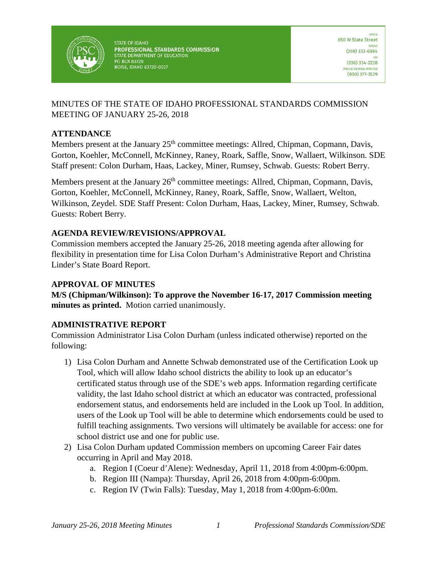

**STATE OF IDAHO** PROFESSIONAL STANDARDS COMMISSION STATE DEPARTMENT OF EDUCATION **PO BOX 83720 BOISE, IDAHO 83720-0027** 

### MINUTES OF THE STATE OF IDAHO PROFESSIONAL STANDARDS COMMISSION MEETING OF JANUARY 25-26, 2018

### **ATTENDANCE**

Members present at the January 25<sup>th</sup> committee meetings: Allred, Chipman, Copmann, Davis, Gorton, Koehler, McConnell, McKinney, Raney, Roark, Saffle, Snow, Wallaert, Wilkinson. SDE Staff present: Colon Durham, Haas, Lackey, Miner, Rumsey, Schwab. Guests: Robert Berry.

Members present at the January 26<sup>th</sup> committee meetings: Allred, Chipman, Copmann, Davis, Gorton, Koehler, McConnell, McKinney, Raney, Roark, Saffle, Snow, Wallaert, Welton, Wilkinson, Zeydel. SDE Staff Present: Colon Durham, Haas, Lackey, Miner, Rumsey, Schwab. Guests: Robert Berry.

### **AGENDA REVIEW/REVISIONS/APPROVAL**

Commission members accepted the January 25-26, 2018 meeting agenda after allowing for flexibility in presentation time for Lisa Colon Durham's Administrative Report and Christina Linder's State Board Report.

### **APPROVAL OF MINUTES**

**M/S (Chipman/Wilkinson): To approve the November 16-17, 2017 Commission meeting minutes as printed.** Motion carried unanimously.

## **ADMINISTRATIVE REPORT**

Commission Administrator Lisa Colon Durham (unless indicated otherwise) reported on the following:

- 1) Lisa Colon Durham and Annette Schwab demonstrated use of the Certification Look up Tool, which will allow Idaho school districts the ability to look up an educator's certificated status through use of the SDE's web apps. Information regarding certificate validity, the last Idaho school district at which an educator was contracted, professional endorsement status, and endorsements held are included in the Look up Tool. In addition, users of the Look up Tool will be able to determine which endorsements could be used to fulfill teaching assignments. Two versions will ultimately be available for access: one for school district use and one for public use.
- 2) Lisa Colon Durham updated Commission members on upcoming Career Fair dates occurring in April and May 2018.
	- a. Region I (Coeur d'Alene): Wednesday, April 11, 2018 from 4:00pm-6:00pm.
	- b. Region III (Nampa): Thursday, April 26, 2018 from 4:00pm-6:00pm.
	- c. Region IV (Twin Falls): Tuesday, May 1, 2018 from 4:00pm-6:00m.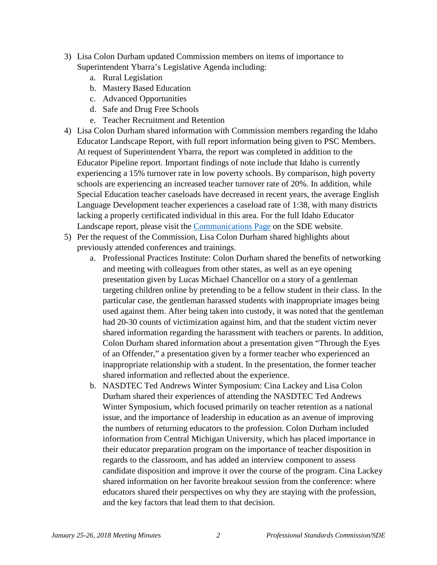- 3) Lisa Colon Durham updated Commission members on items of importance to Superintendent Ybarra's Legislative Agenda including:
	- a. Rural Legislation
	- b. Mastery Based Education
	- c. Advanced Opportunities
	- d. Safe and Drug Free Schools
	- e. Teacher Recruitment and Retention
- 4) Lisa Colon Durham shared information with Commission members regarding the Idaho Educator Landscape Report, with full report information being given to PSC Members. At request of Superintendent Ybarra, the report was completed in addition to the Educator Pipeline report. Important findings of note include that Idaho is currently experiencing a 15% turnover rate in low poverty schools. By comparison, high poverty schools are experiencing an increased teacher turnover rate of 20%. In addition, while Special Education teacher caseloads have decreased in recent years, the average English Language Development teacher experiences a caseload rate of 1:38, with many districts lacking a properly certificated individual in this area. For the full Idaho Educator Landscape report, please visit the [Communications Page](http://www.sde.idaho.gov/communications/files/news-releases/01-22-2018-Idaho-educator-landscape-report.pdf) on the SDE website.
- 5) Per the request of the Commission, Lisa Colon Durham shared highlights about previously attended conferences and trainings.
	- a. Professional Practices Institute: Colon Durham shared the benefits of networking and meeting with colleagues from other states, as well as an eye opening presentation given by Lucas Michael Chancellor on a story of a gentleman targeting children online by pretending to be a fellow student in their class. In the particular case, the gentleman harassed students with inappropriate images being used against them. After being taken into custody, it was noted that the gentleman had 20-30 counts of victimization against him, and that the student victim never shared information regarding the harassment with teachers or parents. In addition, Colon Durham shared information about a presentation given "Through the Eyes of an Offender," a presentation given by a former teacher who experienced an inappropriate relationship with a student. In the presentation, the former teacher shared information and reflected about the experience.
	- b. NASDTEC Ted Andrews Winter Symposium: Cina Lackey and Lisa Colon Durham shared their experiences of attending the NASDTEC Ted Andrews Winter Symposium, which focused primarily on teacher retention as a national issue, and the importance of leadership in education as an avenue of improving the numbers of returning educators to the profession. Colon Durham included information from Central Michigan University, which has placed importance in their educator preparation program on the importance of teacher disposition in regards to the classroom, and has added an interview component to assess candidate disposition and improve it over the course of the program. Cina Lackey shared information on her favorite breakout session from the conference: where educators shared their perspectives on why they are staying with the profession, and the key factors that lead them to that decision.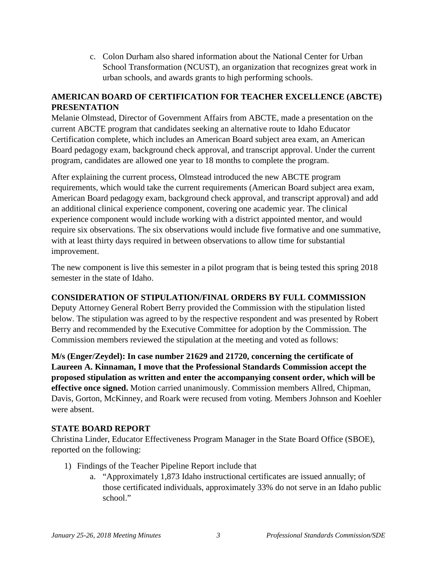c. Colon Durham also shared information about the National Center for Urban School Transformation (NCUST), an organization that recognizes great work in urban schools, and awards grants to high performing schools.

# **AMERICAN BOARD OF CERTIFICATION FOR TEACHER EXCELLENCE (ABCTE) PRESENTATION**

Melanie Olmstead, Director of Government Affairs from ABCTE, made a presentation on the current ABCTE program that candidates seeking an alternative route to Idaho Educator Certification complete, which includes an American Board subject area exam, an American Board pedagogy exam, background check approval, and transcript approval. Under the current program, candidates are allowed one year to 18 months to complete the program.

After explaining the current process, Olmstead introduced the new ABCTE program requirements, which would take the current requirements (American Board subject area exam, American Board pedagogy exam, background check approval, and transcript approval) and add an additional clinical experience component, covering one academic year. The clinical experience component would include working with a district appointed mentor, and would require six observations. The six observations would include five formative and one summative, with at least thirty days required in between observations to allow time for substantial improvement.

The new component is live this semester in a pilot program that is being tested this spring 2018 semester in the state of Idaho.

#### **CONSIDERATION OF STIPULATION/FINAL ORDERS BY FULL COMMISSION**

Deputy Attorney General Robert Berry provided the Commission with the stipulation listed below. The stipulation was agreed to by the respective respondent and was presented by Robert Berry and recommended by the Executive Committee for adoption by the Commission. The Commission members reviewed the stipulation at the meeting and voted as follows:

**M/s (Enger/Zeydel): In case number 21629 and 21720, concerning the certificate of Laureen A. Kinnaman, I move that the Professional Standards Commission accept the proposed stipulation as written and enter the accompanying consent order, which will be effective once signed.** Motion carried unanimously. Commission members Allred, Chipman, Davis, Gorton, McKinney, and Roark were recused from voting. Members Johnson and Koehler were absent.

#### **STATE BOARD REPORT**

Christina Linder, Educator Effectiveness Program Manager in the State Board Office (SBOE), reported on the following:

- 1) Findings of the Teacher Pipeline Report include that
	- a. "Approximately 1,873 Idaho instructional certificates are issued annually; of those certificated individuals, approximately 33% do not serve in an Idaho public school."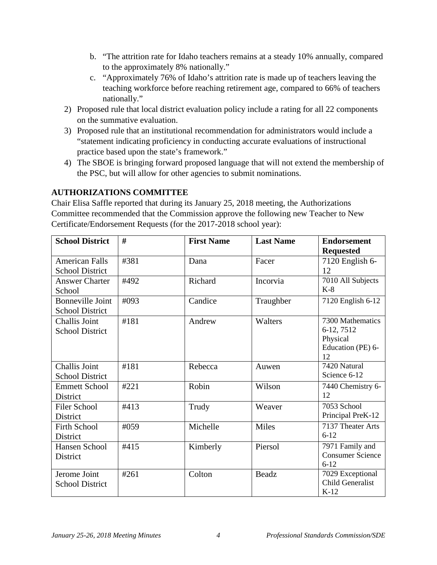- b. "The attrition rate for Idaho teachers remains at a steady 10% annually, compared to the approximately 8% nationally."
- c. "Approximately 76% of Idaho's attrition rate is made up of teachers leaving the teaching workforce before reaching retirement age, compared to 66% of teachers nationally."
- 2) Proposed rule that local district evaluation policy include a rating for all 22 components on the summative evaluation.
- 3) Proposed rule that an institutional recommendation for administrators would include a "statement indicating proficiency in conducting accurate evaluations of instructional practice based upon the state's framework."
- 4) The SBOE is bringing forward proposed language that will not extend the membership of the PSC, but will allow for other agencies to submit nominations.

## **AUTHORIZATIONS COMMITTEE**

Chair Elisa Saffle reported that during its January 25, 2018 meeting, the Authorizations Committee recommended that the Commission approve the following new Teacher to New Certificate/Endorsement Requests (for the 2017-2018 school year):

| <b>School District</b>                            | #    | <b>First Name</b> | <b>Last Name</b> | <b>Endorsement</b><br><b>Requested</b>                                |
|---------------------------------------------------|------|-------------------|------------------|-----------------------------------------------------------------------|
| <b>American Falls</b><br><b>School District</b>   | #381 | Dana              | Facer            | 7120 English 6-<br>12                                                 |
| <b>Answer Charter</b><br>School                   | #492 | Richard           | Incorvia         | 7010 All Subjects<br>$K-8$                                            |
| <b>Bonneville Joint</b><br><b>School District</b> | #093 | Candice           | Traughber        | 7120 English 6-12                                                     |
| Challis Joint<br><b>School District</b>           | #181 | Andrew            | Walters          | 7300 Mathematics<br>6-12, 7512<br>Physical<br>Education (PE) 6-<br>12 |
| Challis Joint<br><b>School District</b>           | #181 | Rebecca           | Auwen            | 7420 Natural<br>Science 6-12                                          |
| <b>Emmett School</b><br><b>District</b>           | #221 | Robin             | Wilson           | 7440 Chemistry 6-<br>12                                               |
| <b>Filer School</b><br>District                   | #413 | Trudy             | Weaver           | 7053 School<br>Principal PreK-12                                      |
| <b>Firth School</b><br>District                   | #059 | Michelle          | Miles            | 7137 Theater Arts<br>$6 - 12$                                         |
| Hansen School<br>District                         | #415 | Kimberly          | Piersol          | 7971 Family and<br><b>Consumer Science</b><br>$6 - 12$                |
| Jerome Joint<br><b>School District</b>            | #261 | Colton            | Beadz            | 7029 Exceptional<br><b>Child Generalist</b><br>$K-12$                 |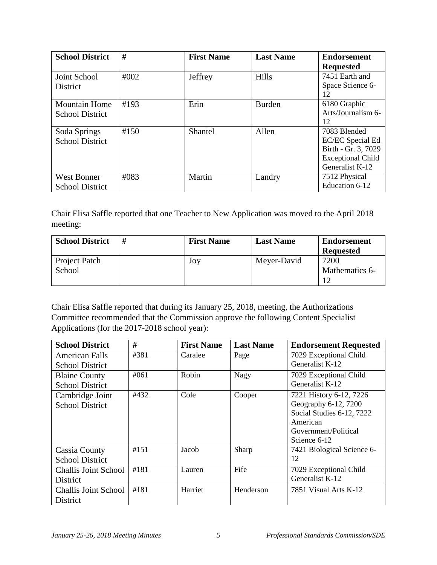| <b>School District</b>                         | #    | <b>First Name</b> | <b>Last Name</b> | <b>Endorsement</b><br><b>Requested</b>                                                                 |
|------------------------------------------------|------|-------------------|------------------|--------------------------------------------------------------------------------------------------------|
| Joint School<br>District                       | #002 | Jeffrey           | <b>Hills</b>     | 7451 Earth and<br>Space Science 6-<br>12                                                               |
| <b>Mountain Home</b><br><b>School District</b> | #193 | Erin              | <b>Burden</b>    | 6180 Graphic<br>Arts/Journalism 6-<br>12                                                               |
| Soda Springs<br><b>School District</b>         | #150 | Shantel           | Allen            | 7083 Blended<br>EC/EC Special Ed<br>Birth - Gr. 3, 7029<br><b>Exceptional Child</b><br>Generalist K-12 |
| <b>West Bonner</b><br><b>School District</b>   | #083 | Martin            | Landry           | 7512 Physical<br>Education 6-12                                                                        |

Chair Elisa Saffle reported that one Teacher to New Application was moved to the April 2018 meeting:

| <b>School District</b>  | # | <b>First Name</b> | <b>Last Name</b> | <b>Endorsement</b><br><b>Requested</b> |
|-------------------------|---|-------------------|------------------|----------------------------------------|
| Project Patch<br>School |   | Joy               | Meyer-David      | 7200<br>Mathematics 6-                 |
|                         |   |                   |                  |                                        |

Chair Elisa Saffle reported that during its January 25, 2018, meeting, the Authorizations Committee recommended that the Commission approve the following Content Specialist Applications (for the 2017-2018 school year):

| <b>School District</b>      | #    | <b>First Name</b> | <b>Last Name</b> | <b>Endorsement Requested</b> |
|-----------------------------|------|-------------------|------------------|------------------------------|
| <b>American Falls</b>       | #381 | Caralee           | Page             | 7029 Exceptional Child       |
| <b>School District</b>      |      |                   |                  | Generalist K-12              |
| <b>Blaine County</b>        | #061 | Robin             | Nagy             | 7029 Exceptional Child       |
| <b>School District</b>      |      |                   |                  | Generalist K-12              |
| Cambridge Joint             | #432 | Cole              | Cooper           | 7221 History 6-12, 7226      |
| <b>School District</b>      |      |                   |                  | Geography 6-12, 7200         |
|                             |      |                   |                  | Social Studies 6-12, 7222    |
|                             |      |                   |                  | American                     |
|                             |      |                   |                  | Government/Political         |
|                             |      |                   |                  | Science 6-12                 |
| <b>Cassia County</b>        | #151 | Jacob             | Sharp            | 7421 Biological Science 6-   |
| <b>School District</b>      |      |                   |                  | 12                           |
| <b>Challis Joint School</b> | #181 | Lauren            | Fife             | 7029 Exceptional Child       |
| District                    |      |                   |                  | Generalist K-12              |
| <b>Challis Joint School</b> | #181 | Harriet           | Henderson        | 7851 Visual Arts K-12        |
| District                    |      |                   |                  |                              |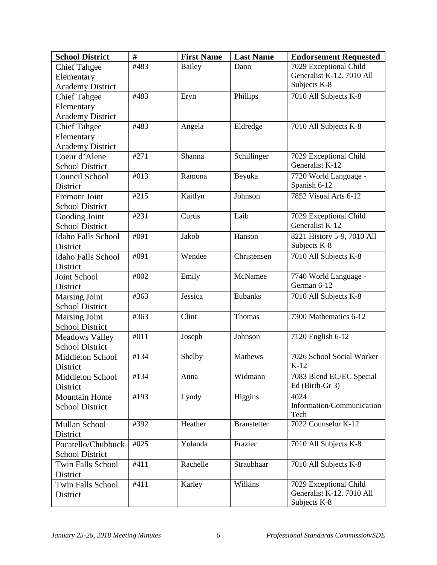| <b>School District</b>    | #    | <b>First Name</b> | <b>Last Name</b>   | <b>Endorsement Requested</b>      |
|---------------------------|------|-------------------|--------------------|-----------------------------------|
| <b>Chief Tahgee</b>       | #483 | Bailey            | Dann               | 7029 Exceptional Child            |
| Elementary                |      |                   |                    | Generalist K-12. 7010 All         |
| <b>Academy District</b>   |      |                   |                    | Subjects K-8                      |
| <b>Chief Tahgee</b>       | #483 | Eryn              | Phillips           | 7010 All Subjects K-8             |
| Elementary                |      |                   |                    |                                   |
| <b>Academy District</b>   |      |                   |                    |                                   |
| <b>Chief Tahgee</b>       | #483 | Angela            | Eldredge           | 7010 All Subjects K-8             |
| Elementary                |      |                   |                    |                                   |
| <b>Academy District</b>   |      |                   |                    |                                   |
| Coeur d'Alene             | #271 | Shanna            | Schillinger        | 7029 Exceptional Child            |
| <b>School District</b>    |      |                   |                    | Generalist K-12                   |
| Council School            | #013 | Ramona            | Beyuka             | 7720 World Language -             |
| District                  |      |                   |                    | Spanish 6-12                      |
| <b>Fremont Joint</b>      | #215 | Kaitlyn           | Johnson            | 7852 Visual Arts 6-12             |
| <b>School District</b>    |      |                   |                    |                                   |
| Gooding Joint             | #231 | Curtis            | Laib               | 7029 Exceptional Child            |
| <b>School District</b>    |      |                   |                    | Generalist K-12                   |
| <b>Idaho Falls School</b> | #091 | Jakob             | Hanson             | 8221 History 5-9, 7010 All        |
| District                  |      |                   |                    | Subjects K-8                      |
| <b>Idaho Falls School</b> | #091 | Wendee            | Christensen        | 7010 All Subjects K-8             |
| District                  |      |                   |                    |                                   |
| Joint School              | #002 | Emily             | McNamee            | 7740 World Language -             |
| District                  |      |                   |                    | German 6-12                       |
| <b>Marsing Joint</b>      | #363 | Jessica           | Eubanks            | 7010 All Subjects K-8             |
| <b>School District</b>    |      |                   |                    |                                   |
| <b>Marsing Joint</b>      | #363 | Clint             | Thomas             | 7300 Mathematics 6-12             |
| <b>School District</b>    |      |                   |                    |                                   |
| <b>Meadows Valley</b>     | #011 | Joseph            | Johnson            | 7120 English 6-12                 |
| <b>School District</b>    |      |                   |                    |                                   |
| <b>Middleton School</b>   | #134 | Shelby            | Mathews            | 7026 School Social Worker         |
| District                  |      |                   |                    | $K-12$                            |
| Middleton School          | #134 | Anna              | Widmann            | 7083 Blend EC/EC Special          |
| District                  |      |                   |                    | Ed (Birth-Gr 3)                   |
| <b>Mountain Home</b>      | #193 | Lyndy             | Higgins            | 4024                              |
| <b>School District</b>    |      |                   |                    | Information/Communication<br>Tech |
| Mullan School             | #392 | Heather           | <b>Branstetter</b> | 7022 Counselor K-12               |
| District                  |      |                   |                    |                                   |
| Pocatello/Chubbuck        | #025 | Yolanda           | Frazier            | 7010 All Subjects K-8             |
| <b>School District</b>    |      |                   |                    |                                   |
| Twin Falls School         | #411 | Rachelle          | Straubhaar         | 7010 All Subjects K-8             |
| District                  |      |                   |                    |                                   |
| <b>Twin Falls School</b>  | #411 | Karley            | Wilkins            | 7029 Exceptional Child            |
| District                  |      |                   |                    | Generalist K-12. 7010 All         |
|                           |      |                   |                    | Subjects K-8                      |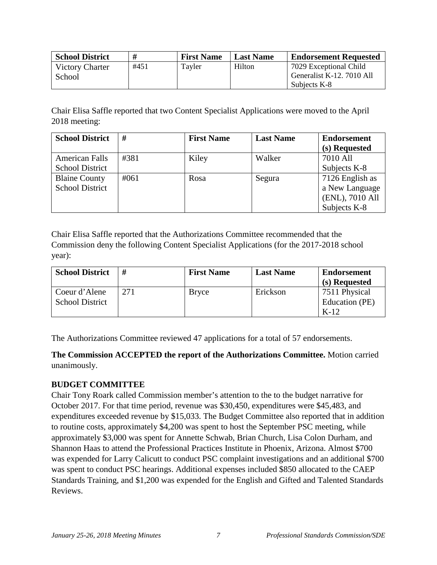| <b>School District</b> | #    | <b>First Name</b> | <b>Last Name</b> | <b>Endorsement Requested</b> |
|------------------------|------|-------------------|------------------|------------------------------|
| <b>Victory Charter</b> | #451 | Tayler            | Hilton           | 7029 Exceptional Child       |
| School                 |      |                   |                  | Generalist K-12, 7010 All    |
|                        |      |                   |                  | Subjects K-8                 |

Chair Elisa Saffle reported that two Content Specialist Applications were moved to the April 2018 meeting:

| <b>School District</b> | #    | <b>First Name</b> | <b>Last Name</b> | <b>Endorsement</b> |
|------------------------|------|-------------------|------------------|--------------------|
|                        |      |                   |                  | (s) Requested      |
| <b>American Falls</b>  | #381 | Kiley             | Walker           | 7010 All           |
| <b>School District</b> |      |                   |                  | Subjects K-8       |
| <b>Blaine County</b>   | #061 | Rosa              | Segura           | 7126 English as    |
| <b>School District</b> |      |                   |                  | a New Language     |
|                        |      |                   |                  | (ENL), 7010 All    |
|                        |      |                   |                  | Subjects K-8       |

Chair Elisa Saffle reported that the Authorizations Committee recommended that the Commission deny the following Content Specialist Applications (for the 2017-2018 school year):

| <b>School District</b>                  | #   | <b>First Name</b> | <b>Last Name</b> | <b>Endorsement</b><br>(s) Requested       |
|-----------------------------------------|-----|-------------------|------------------|-------------------------------------------|
| Coeur d'Alene<br><b>School District</b> | 271 | <b>Bryce</b>      | Erickson         | 7511 Physical<br>Education (PE)<br>$K-12$ |

The Authorizations Committee reviewed 47 applications for a total of 57 endorsements.

**The Commission ACCEPTED the report of the Authorizations Committee.** Motion carried unanimously.

#### **BUDGET COMMITTEE**

Chair Tony Roark called Commission member's attention to the to the budget narrative for October 2017. For that time period, revenue was \$30,450, expenditures were \$45,483, and expenditures exceeded revenue by \$15,033. The Budget Committee also reported that in addition to routine costs, approximately \$4,200 was spent to host the September PSC meeting, while approximately \$3,000 was spent for Annette Schwab, Brian Church, Lisa Colon Durham, and Shannon Haas to attend the Professional Practices Institute in Phoenix, Arizona. Almost \$700 was expended for Larry Calicutt to conduct PSC complaint investigations and an additional \$700 was spent to conduct PSC hearings. Additional expenses included \$850 allocated to the CAEP Standards Training, and \$1,200 was expended for the English and Gifted and Talented Standards **Reviews**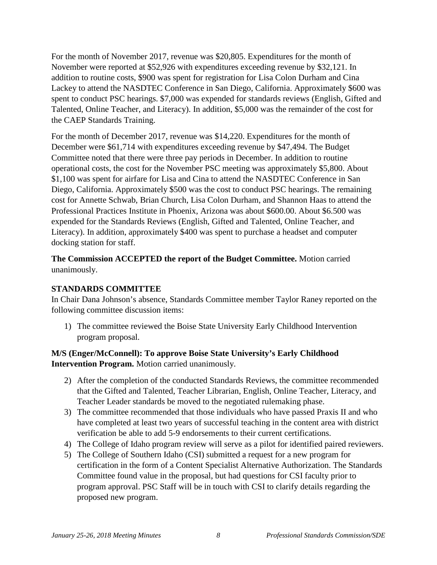For the month of November 2017, revenue was \$20,805. Expenditures for the month of November were reported at \$52,926 with expenditures exceeding revenue by \$32,121. In addition to routine costs, \$900 was spent for registration for Lisa Colon Durham and Cina Lackey to attend the NASDTEC Conference in San Diego, California. Approximately \$600 was spent to conduct PSC hearings. \$7,000 was expended for standards reviews (English, Gifted and Talented, Online Teacher, and Literacy). In addition, \$5,000 was the remainder of the cost for the CAEP Standards Training.

For the month of December 2017, revenue was \$14,220. Expenditures for the month of December were \$61,714 with expenditures exceeding revenue by \$47,494. The Budget Committee noted that there were three pay periods in December. In addition to routine operational costs, the cost for the November PSC meeting was approximately \$5,800. About \$1,100 was spent for airfare for Lisa and Cina to attend the NASDTEC Conference in San Diego, California. Approximately \$500 was the cost to conduct PSC hearings. The remaining cost for Annette Schwab, Brian Church, Lisa Colon Durham, and Shannon Haas to attend the Professional Practices Institute in Phoenix, Arizona was about \$600.00. About \$6.500 was expended for the Standards Reviews (English, Gifted and Talented, Online Teacher, and Literacy). In addition, approximately \$400 was spent to purchase a headset and computer docking station for staff.

**The Commission ACCEPTED the report of the Budget Committee.** Motion carried unanimously.

#### **STANDARDS COMMITTEE**

In Chair Dana Johnson's absence, Standards Committee member Taylor Raney reported on the following committee discussion items:

1) The committee reviewed the Boise State University Early Childhood Intervention program proposal.

## **M/S (Enger/McConnell): To approve Boise State University's Early Childhood Intervention Program.** Motion carried unanimously.

- 2) After the completion of the conducted Standards Reviews, the committee recommended that the Gifted and Talented, Teacher Librarian, English, Online Teacher, Literacy, and Teacher Leader standards be moved to the negotiated rulemaking phase.
- 3) The committee recommended that those individuals who have passed Praxis II and who have completed at least two years of successful teaching in the content area with district verification be able to add 5-9 endorsements to their current certifications.
- 4) The College of Idaho program review will serve as a pilot for identified paired reviewers.
- 5) The College of Southern Idaho (CSI) submitted a request for a new program for certification in the form of a Content Specialist Alternative Authorization. The Standards Committee found value in the proposal, but had questions for CSI faculty prior to program approval. PSC Staff will be in touch with CSI to clarify details regarding the proposed new program.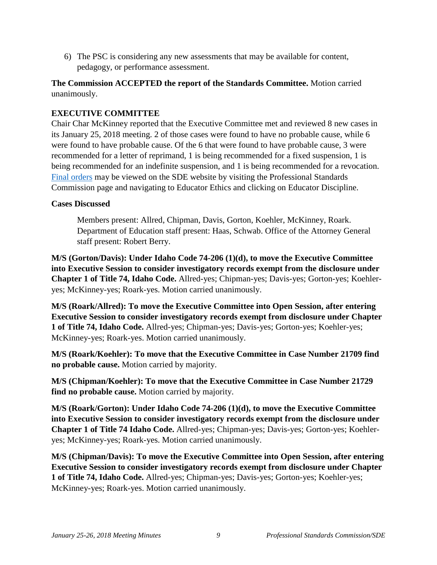6) The PSC is considering any new assessments that may be available for content, pedagogy, or performance assessment.

**The Commission ACCEPTED the report of the Standards Committee.** Motion carried unanimously.

### **EXECUTIVE COMMITTEE**

Chair Char McKinney reported that the Executive Committee met and reviewed 8 new cases in its January 25, 2018 meeting. 2 of those cases were found to have no probable cause, while 6 were found to have probable cause. Of the 6 that were found to have probable cause, 3 were recommended for a letter of reprimand, 1 is being recommended for a fixed suspension, 1 is being recommended for an indefinite suspension, and 1 is being recommended for a revocation. [Final orders](http://www.sde.idaho.gov/cert-psc/psc/ethics.html) may be viewed on the SDE website by visiting the Professional Standards Commission page and navigating to Educator Ethics and clicking on Educator Discipline.

#### **Cases Discussed**

Members present: Allred, Chipman, Davis, Gorton, Koehler, McKinney, Roark. Department of Education staff present: Haas, Schwab. Office of the Attorney General staff present: Robert Berry.

**M/S (Gorton/Davis): Under Idaho Code 74-206 (1)(d), to move the Executive Committee into Executive Session to consider investigatory records exempt from the disclosure under Chapter 1 of Title 74, Idaho Code.** Allred-yes; Chipman-yes; Davis-yes; Gorton-yes; Koehleryes; McKinney-yes; Roark-yes. Motion carried unanimously.

**M/S (Roark/Allred): To move the Executive Committee into Open Session, after entering Executive Session to consider investigatory records exempt from disclosure under Chapter 1 of Title 74, Idaho Code.** Allred-yes; Chipman-yes; Davis-yes; Gorton-yes; Koehler-yes; McKinney-yes; Roark-yes. Motion carried unanimously.

**M/S (Roark/Koehler): To move that the Executive Committee in Case Number 21709 find no probable cause.** Motion carried by majority.

**M/S (Chipman/Koehler): To move that the Executive Committee in Case Number 21729 find no probable cause.** Motion carried by majority.

**M/S (Roark/Gorton): Under Idaho Code 74-206 (1)(d), to move the Executive Committee into Executive Session to consider investigatory records exempt from the disclosure under Chapter 1 of Title 74 Idaho Code.** Allred-yes; Chipman-yes; Davis-yes; Gorton-yes; Koehleryes; McKinney-yes; Roark-yes. Motion carried unanimously.

**M/S (Chipman/Davis): To move the Executive Committee into Open Session, after entering Executive Session to consider investigatory records exempt from disclosure under Chapter 1 of Title 74, Idaho Code.** Allred-yes; Chipman-yes; Davis-yes; Gorton-yes; Koehler-yes; McKinney-yes; Roark-yes. Motion carried unanimously.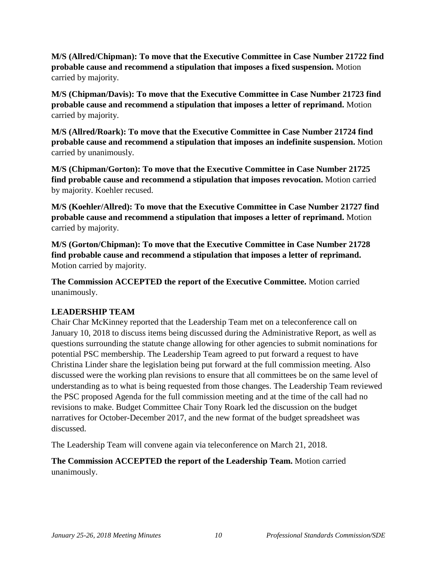**M/S (Allred/Chipman): To move that the Executive Committee in Case Number 21722 find probable cause and recommend a stipulation that imposes a fixed suspension.** Motion carried by majority.

**M/S (Chipman/Davis): To move that the Executive Committee in Case Number 21723 find probable cause and recommend a stipulation that imposes a letter of reprimand.** Motion carried by majority.

**M/S (Allred/Roark): To move that the Executive Committee in Case Number 21724 find probable cause and recommend a stipulation that imposes an indefinite suspension.** Motion carried by unanimously.

**M/S (Chipman/Gorton): To move that the Executive Committee in Case Number 21725 find probable cause and recommend a stipulation that imposes revocation.** Motion carried by majority. Koehler recused.

**M/S (Koehler/Allred): To move that the Executive Committee in Case Number 21727 find probable cause and recommend a stipulation that imposes a letter of reprimand.** Motion carried by majority.

**M/S (Gorton/Chipman): To move that the Executive Committee in Case Number 21728 find probable cause and recommend a stipulation that imposes a letter of reprimand.**  Motion carried by majority.

**The Commission ACCEPTED the report of the Executive Committee.** Motion carried unanimously.

## **LEADERSHIP TEAM**

Chair Char McKinney reported that the Leadership Team met on a teleconference call on January 10, 2018 to discuss items being discussed during the Administrative Report, as well as questions surrounding the statute change allowing for other agencies to submit nominations for potential PSC membership. The Leadership Team agreed to put forward a request to have Christina Linder share the legislation being put forward at the full commission meeting. Also discussed were the working plan revisions to ensure that all committees be on the same level of understanding as to what is being requested from those changes. The Leadership Team reviewed the PSC proposed Agenda for the full commission meeting and at the time of the call had no revisions to make. Budget Committee Chair Tony Roark led the discussion on the budget narratives for October-December 2017, and the new format of the budget spreadsheet was discussed.

The Leadership Team will convene again via teleconference on March 21, 2018.

**The Commission ACCEPTED the report of the Leadership Team.** Motion carried unanimously.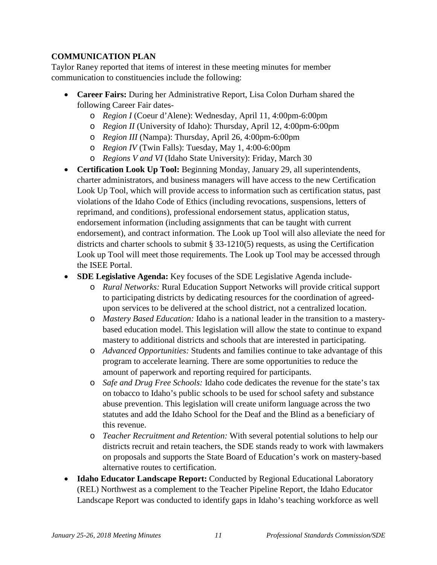# **COMMUNICATION PLAN**

Taylor Raney reported that items of interest in these meeting minutes for member communication to constituencies include the following:

- **Career Fairs:** During her Administrative Report, Lisa Colon Durham shared the following Career Fair dates
	- o *Region I* (Coeur d'Alene): Wednesday, April 11, 4:00pm-6:00pm
	- o *Region II* (University of Idaho): Thursday, April 12, 4:00pm-6:00pm
	- o *Region III* (Nampa): Thursday, April 26, 4:00pm-6:00pm
	- o *Region IV* (Twin Falls): Tuesday, May 1, 4:00-6:00pm
	- o *Regions V and VI* (Idaho State University): Friday, March 30
- **Certification Look Up Tool:** Beginning Monday, January 29, all superintendents, charter administrators, and business managers will have access to the new Certification Look Up Tool, which will provide access to information such as certification status, past violations of the Idaho Code of Ethics (including revocations, suspensions, letters of reprimand, and conditions), professional endorsement status, application status, endorsement information (including assignments that can be taught with current endorsement), and contract information. The Look up Tool will also alleviate the need for districts and charter schools to submit § 33-1210(5) requests, as using the Certification Look up Tool will meet those requirements. The Look up Tool may be accessed through the ISEE Portal.
- **SDE Legislative Agenda:** Key focuses of the SDE Legislative Agenda include
	- o *Rural Networks:* Rural Education Support Networks will provide critical support to participating districts by dedicating resources for the coordination of agreedupon services to be delivered at the school district, not a centralized location.
	- o *Mastery Based Education:* Idaho is a national leader in the transition to a masterybased education model. This legislation will allow the state to continue to expand mastery to additional districts and schools that are interested in participating.
	- o *Advanced Opportunities:* Students and families continue to take advantage of this program to accelerate learning. There are some opportunities to reduce the amount of paperwork and reporting required for participants.
	- o *Safe and Drug Free Schools:* Idaho code dedicates the revenue for the state's tax on tobacco to Idaho's public schools to be used for school safety and substance abuse prevention. This legislation will create uniform language across the two statutes and add the Idaho School for the Deaf and the Blind as a beneficiary of this revenue.
	- o *Teacher Recruitment and Retention:* With several potential solutions to help our districts recruit and retain teachers, the SDE stands ready to work with lawmakers on proposals and supports the State Board of Education's work on mastery-based alternative routes to certification.
- **Idaho Educator Landscape Report:** Conducted by Regional Educational Laboratory (REL) Northwest as a complement to the Teacher Pipeline Report, the Idaho Educator Landscape Report was conducted to identify gaps in Idaho's teaching workforce as well